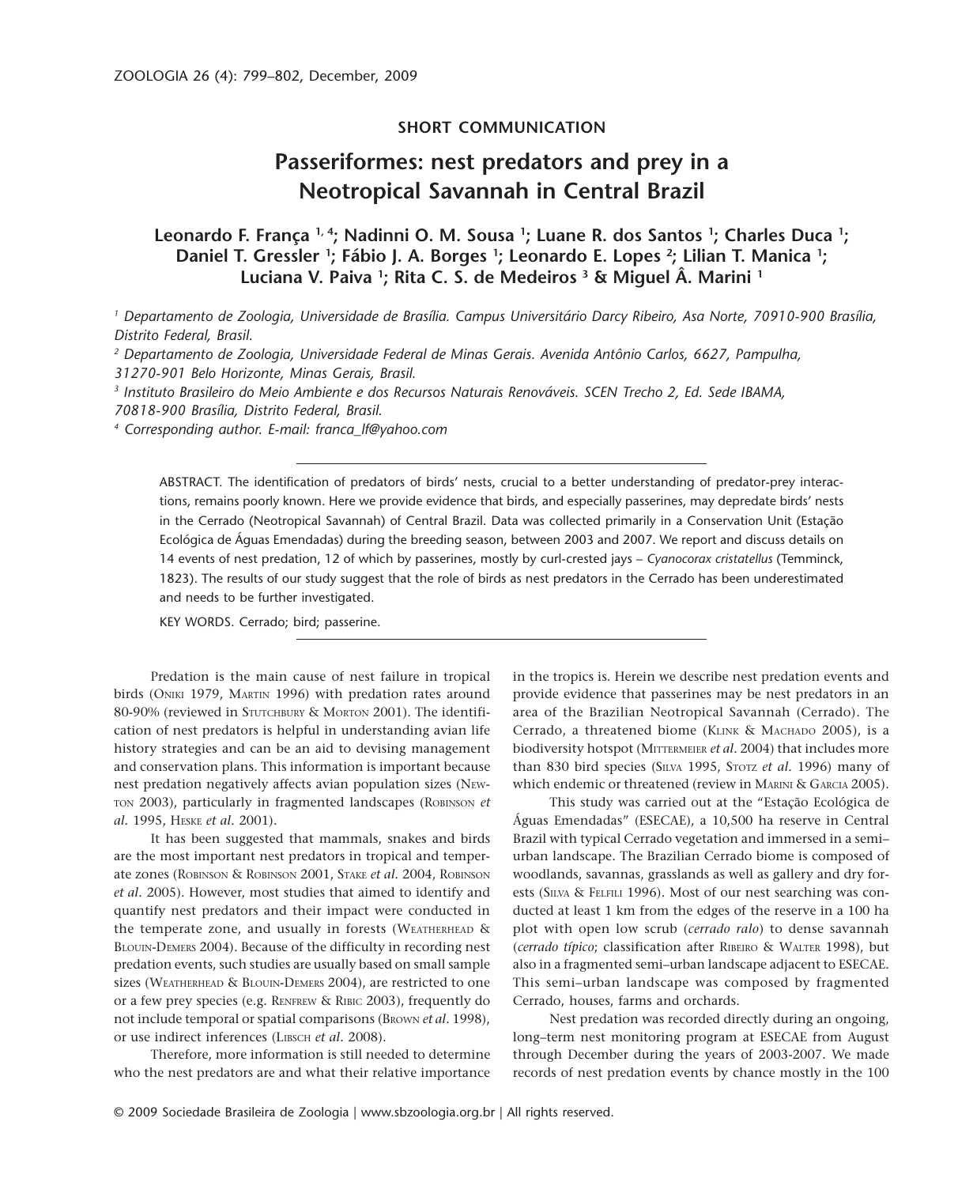## **SHORT COMMUNICATION**

# **Passeriformes: nest predators and prey in a Neotropical Savannah in Central Brazil**

## **Leonardo F. França 1, 4; Nadinni O. M. Sousa 1 ; Luane R. dos Santos 1 ; Charles Duca 1 ;** Daniel T. Gressler <sup>1</sup>; Fábio J. A. Borges <sup>1</sup>; Leonardo E. Lopes <sup>2</sup>; Lilian T. Manica <sup>1</sup>; **Luciana V. Paiva 1; Rita C. S. de Medeiros 3 & Miguel Â. Marini 1**

*1 Departamento de Zoologia, Universidade de Brasília. Campus Universitário Darcy Ribeiro, Asa Norte, 70910-900 Brasília, Distrito Federal, Brasil.*

*2 Departamento de Zoologia, Universidade Federal de Minas Gerais. Avenida Antônio Carlos, 6627, Pampulha, 31270-901 Belo Horizonte, Minas Gerais, Brasil.*

*3 Instituto Brasileiro do Meio Ambiente e dos Recursos Naturais Renováveis. SCEN Trecho 2, Ed. Sede IBAMA, 70818-900 Brasília, Distrito Federal, Brasil.*

*4 Corresponding author. E-mail: franca\_lf@yahoo.com*

ABSTRACT. The identification of predators of birds' nests, crucial to a better understanding of predator-prey interactions, remains poorly known. Here we provide evidence that birds, and especially passerines, may depredate birds' nests in the Cerrado (Neotropical Savannah) of Central Brazil. Data was collected primarily in a Conservation Unit (Estação Ecológica de Águas Emendadas) during the breeding season, between 2003 and 2007. We report and discuss details on 14 events of nest predation, 12 of which by passerines, mostly by curl-crested jays – *Cyanocorax cristatellus* (Temminck, 1823). The results of our study suggest that the role of birds as nest predators in the Cerrado has been underestimated and needs to be further investigated.

KEY WORDS. Cerrado; bird; passerine.

Predation is the main cause of nest failure in tropical birds (ONIKI 1979, MARTIN 1996) with predation rates around 80-90% (reviewed in STUTCHBURY & MORTON 2001). The identification of nest predators is helpful in understanding avian life history strategies and can be an aid to devising management and conservation plans. This information is important because nest predation negatively affects avian population sizes (NEW-TON 2003), particularly in fragmented landscapes (ROBINSON *et al.* 1995, HESKE *et al.* 2001).

It has been suggested that mammals, snakes and birds are the most important nest predators in tropical and temperate zones (ROBINSON & ROBINSON 2001, STAKE *et al.* 2004, ROBINSON *et al.* 2005). However, most studies that aimed to identify and quantify nest predators and their impact were conducted in the temperate zone, and usually in forests (WEATHERHEAD & BLOUIN-DEMERS 2004). Because of the difficulty in recording nest predation events, such studies are usually based on small sample sizes (WEATHERHEAD & BLOUIN-DEMERS 2004), are restricted to one or a few prey species (e.g. RENFREW & RIBIC 2003), frequently do not include temporal or spatial comparisons (BROWN *et al.* 1998), or use indirect inferences (LIBSCH *et al.* 2008).

Therefore, more information is still needed to determine who the nest predators are and what their relative importance in the tropics is. Herein we describe nest predation events and provide evidence that passerines may be nest predators in an area of the Brazilian Neotropical Savannah (Cerrado). The Cerrado, a threatened biome (KLINK & MACHADO 2005), is a biodiversity hotspot (MITTERMEIER *et al.* 2004) that includes more than 830 bird species (SILVA 1995, STOTZ *et al.* 1996) many of which endemic or threatened (review in MARINI & GARCIA 2005).

This study was carried out at the "Estação Ecológica de Águas Emendadas" (ESECAE), a 10,500 ha reserve in Central Brazil with typical Cerrado vegetation and immersed in a semi– urban landscape. The Brazilian Cerrado biome is composed of woodlands, savannas, grasslands as well as gallery and dry forests (SILVA & FELFILI 1996). Most of our nest searching was conducted at least 1 km from the edges of the reserve in a 100 ha plot with open low scrub (*cerrado ralo*) to dense savannah (*cerrado típico*; classification after RIBEIRO & WALTER 1998), but also in a fragmented semi–urban landscape adjacent to ESECAE. This semi–urban landscape was composed by fragmented Cerrado, houses, farms and orchards.

Nest predation was recorded directly during an ongoing, long–term nest monitoring program at ESECAE from August through December during the years of 2003-2007. We made records of nest predation events by chance mostly in the 100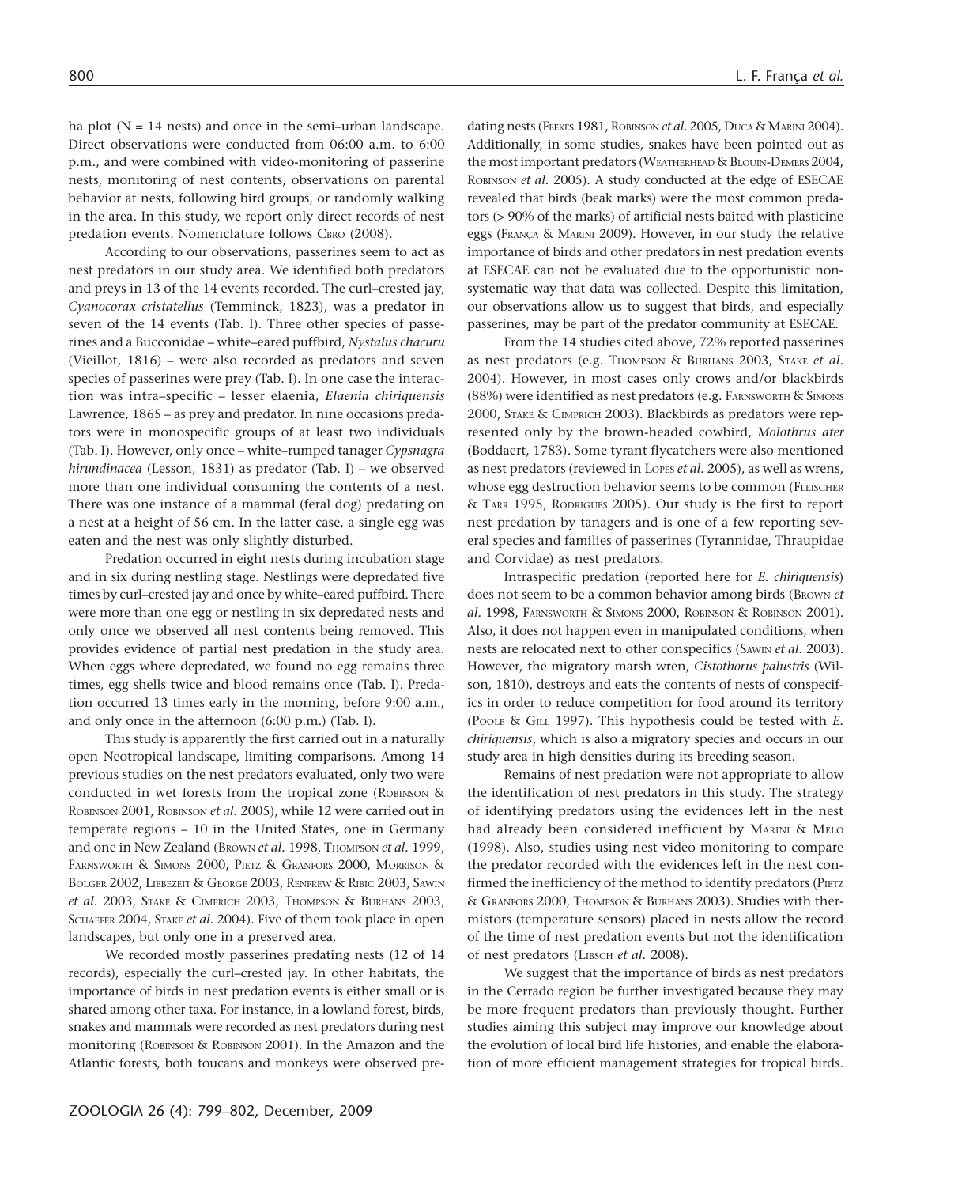ha plot  $(N = 14$  nests) and once in the semi-urban landscape. Direct observations were conducted from 06:00 a.m. to 6:00 p.m., and were combined with video-monitoring of passerine nests, monitoring of nest contents, observations on parental behavior at nests, following bird groups, or randomly walking in the area. In this study, we report only direct records of nest predation events. Nomenclature follows CBRO (2008).

According to our observations, passerines seem to act as nest predators in our study area. We identified both predators and preys in 13 of the 14 events recorded. The curl–crested jay, *Cyanocorax cristatellus* (Temminck, 1823), was a predator in seven of the 14 events (Tab. I). Three other species of passerines and a Bucconidae – white–eared puffbird, *Nystalus chacuru* (Vieillot, 1816) – were also recorded as predators and seven species of passerines were prey (Tab. I). In one case the interaction was intra–specific – lesser elaenia, *Elaenia chiriquensis* Lawrence, 1865 – as prey and predator. In nine occasions predators were in monospecific groups of at least two individuals (Tab. I). However, only once – white–rumped tanager *Cypsnagra hirundinacea* (Lesson, 1831) as predator (Tab. I) – we observed more than one individual consuming the contents of a nest. There was one instance of a mammal (feral dog) predating on a nest at a height of 56 cm. In the latter case, a single egg was eaten and the nest was only slightly disturbed.

Predation occurred in eight nests during incubation stage and in six during nestling stage. Nestlings were depredated five times by curl–crested jay and once by white–eared puffbird. There were more than one egg or nestling in six depredated nests and only once we observed all nest contents being removed. This provides evidence of partial nest predation in the study area. When eggs where depredated, we found no egg remains three times, egg shells twice and blood remains once (Tab. I). Predation occurred 13 times early in the morning, before 9:00 a.m., and only once in the afternoon (6:00 p.m.) (Tab. I).

This study is apparently the first carried out in a naturally open Neotropical landscape, limiting comparisons. Among 14 previous studies on the nest predators evaluated, only two were conducted in wet forests from the tropical zone (ROBINSON & ROBINSON 2001, ROBINSON *et al.* 2005), while 12 were carried out in temperate regions – 10 in the United States, one in Germany and one in New Zealand (BROWN *et al.* 1998, THOMPSON *et al.* 1999, FARNSWORTH & SIMONS 2000, PIETZ & GRANFORS 2000, MORRISON & BOLGER 2002, LIEBEZEIT & GEORGE 2003, RENFREW & RIBIC 2003, SAWIN *et al.* 2003, STAKE & CIMPRICH 2003, THOMPSON & BURHANS 2003, SCHAEFER 2004, STAKE *et al.* 2004). Five of them took place in open landscapes, but only one in a preserved area.

We recorded mostly passerines predating nests (12 of 14 records), especially the curl–crested jay. In other habitats, the importance of birds in nest predation events is either small or is shared among other taxa. For instance, in a lowland forest, birds, snakes and mammals were recorded as nest predators during nest monitoring (ROBINSON & ROBINSON 2001). In the Amazon and the Atlantic forests, both toucans and monkeys were observed pre-

dating nests (FEEKES 1981, ROBINSON *et al.* 2005, DUCA & MARINI 2004). Additionally, in some studies, snakes have been pointed out as the most important predators (WEATHERHEAD & BLOUIN-DEMERS 2004, ROBINSON *et al.* 2005). A study conducted at the edge of ESECAE revealed that birds (beak marks) were the most common predators (> 90% of the marks) of artificial nests baited with plasticine eggs (FRANÇA & MARINI 2009). However, in our study the relative importance of birds and other predators in nest predation events at ESECAE can not be evaluated due to the opportunistic nonsystematic way that data was collected. Despite this limitation, our observations allow us to suggest that birds, and especially passerines, may be part of the predator community at ESECAE.

From the 14 studies cited above, 72% reported passerines as nest predators (e.g. THOMPSON & BURHANS 2003, STAKE et al. 2004). However, in most cases only crows and/or blackbirds (88%) were identified as nest predators (e.g. FARNSWORTH & SIMONS 2000, STAKE & CIMPRICH 2003). Blackbirds as predators were represented only by the brown-headed cowbird, *Molothrus ater* (Boddaert, 1783). Some tyrant flycatchers were also mentioned as nest predators (reviewed in LOPES *et al.* 2005), as well as wrens, whose egg destruction behavior seems to be common (FLEISCHER & TARR 1995, RODRIGUES 2005). Our study is the first to report nest predation by tanagers and is one of a few reporting several species and families of passerines (Tyrannidae, Thraupidae and Corvidae) as nest predators.

Intraspecific predation (reported here for *E. chiriquensis*) does not seem to be a common behavior among birds (BROWN *et al.* 1998, FARNSWORTH & SIMONS 2000, ROBINSON & ROBINSON 2001). Also, it does not happen even in manipulated conditions, when nests are relocated next to other conspecifics (SAWIN *et al.* 2003). However, the migratory marsh wren, *Cistothorus palustris* (Wilson, 1810), destroys and eats the contents of nests of conspecifics in order to reduce competition for food around its territory (POOLE & GILL 1997). This hypothesis could be tested with *E. chiriquensis*, which is also a migratory species and occurs in our study area in high densities during its breeding season.

Remains of nest predation were not appropriate to allow the identification of nest predators in this study. The strategy of identifying predators using the evidences left in the nest had already been considered inefficient by MARINI & MELO (1998). Also, studies using nest video monitoring to compare the predator recorded with the evidences left in the nest confirmed the inefficiency of the method to identify predators (PIETZ & GRANFORS 2000, THOMPSON & BURHANS 2003). Studies with thermistors (temperature sensors) placed in nests allow the record of the time of nest predation events but not the identification of nest predators (LIBSCH *et al.* 2008).

We suggest that the importance of birds as nest predators in the Cerrado region be further investigated because they may be more frequent predators than previously thought. Further studies aiming this subject may improve our knowledge about the evolution of local bird life histories, and enable the elaboration of more efficient management strategies for tropical birds.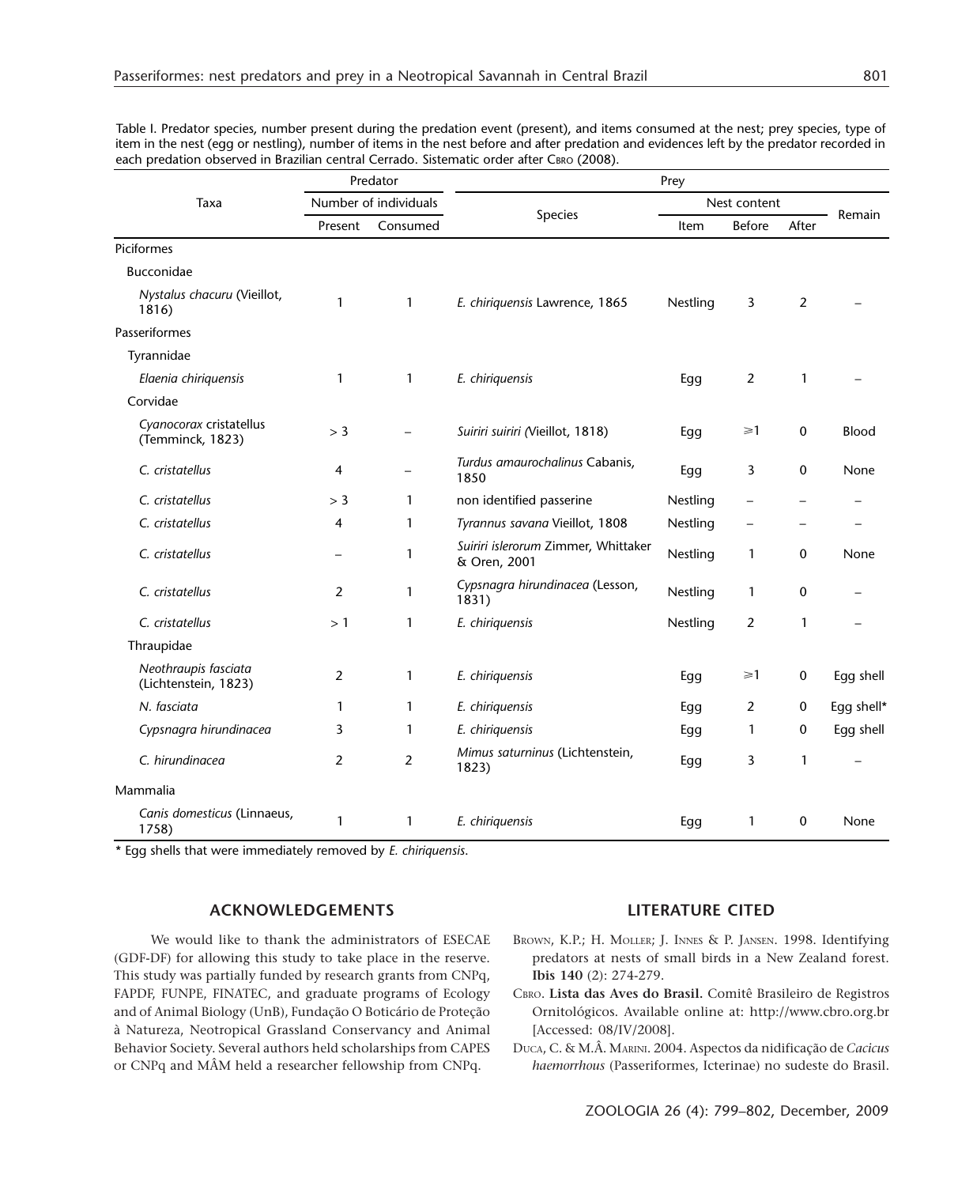| Taxa                                         | Predator<br>Number of individuals |                          | Prey                                                |              |                          |             |            |
|----------------------------------------------|-----------------------------------|--------------------------|-----------------------------------------------------|--------------|--------------------------|-------------|------------|
|                                              |                                   |                          |                                                     | Nest content |                          |             |            |
|                                              | Present                           | Consumed                 | Species                                             | Item         | <b>Before</b>            | After       | Remain     |
| Piciformes                                   |                                   |                          |                                                     |              |                          |             |            |
| Bucconidae                                   |                                   |                          |                                                     |              |                          |             |            |
| Nystalus chacuru (Vieillot,<br>1816)         | $\mathbf{1}$                      | $\mathbf{1}$             | E. chiriquensis Lawrence, 1865                      | Nestling     | 3                        | 2           |            |
| Passeriformes                                |                                   |                          |                                                     |              |                          |             |            |
| Tyrannidae                                   |                                   |                          |                                                     |              |                          |             |            |
| Elaenia chiriquensis                         | 1                                 | $\mathbf{1}$             | E. chiriquensis                                     | Egg          | 2                        | 1           |            |
| Corvidae                                     |                                   |                          |                                                     |              |                          |             |            |
| Cyanocorax cristatellus<br>(Temminck, 1823)  | $>$ 3                             | $\equiv$                 | Suiriri suiriri (Vieillot, 1818)                    | Egg          | $\geq 1$                 | $\mathbf 0$ | Blood      |
| C. cristatellus                              | 4                                 | $\overline{\phantom{0}}$ | Turdus amaurochalinus Cabanis,<br>1850              | Egg          | 3                        | 0           | None       |
| C. cristatellus                              | $>$ 3                             | $\mathbf{1}$             | non identified passerine                            | Nestling     |                          |             |            |
| C. cristatellus                              | $\overline{4}$                    | $\mathbf{1}$             | Tyrannus savana Vieillot, 1808                      | Nestling     | $\overline{\phantom{0}}$ |             |            |
| C. cristatellus                              |                                   | 1                        | Suiriri islerorum Zimmer, Whittaker<br>& Oren, 2001 | Nestling     | $\mathbf{1}$             | $\mathbf 0$ | None       |
| C. cristatellus                              | 2                                 | $\mathbf{1}$             | Cypsnagra hirundinacea (Lesson,<br>1831)            | Nestling     | 1                        | $\mathbf 0$ |            |
| C. cristatellus                              | >1                                | $\mathbf{1}$             | E. chiriquensis                                     | Nestling     | 2                        | 1           |            |
| Thraupidae                                   |                                   |                          |                                                     |              |                          |             |            |
| Neothraupis fasciata<br>(Lichtenstein, 1823) | 2                                 | $\mathbf{1}$             | E. chiriquensis                                     | Egg          | $\geq 1$                 | 0           | Egg shell  |
| N. fasciata                                  | 1                                 | $\mathbf{1}$             | E. chiriquensis                                     | Egg          | 2                        | $\mathbf 0$ | Egg shell* |
| Cypsnagra hirundinacea                       | 3                                 | $\mathbf{1}$             | E. chiriquensis                                     | Egg          | 1                        | $\mathbf 0$ | Egg shell  |
| C. hirundinacea                              | 2                                 | $\overline{2}$           | Mimus saturninus (Lichtenstein,<br>1823)            | Egg          | 3                        | 1           |            |
| Mammalia                                     |                                   |                          |                                                     |              |                          |             |            |
| Canis domesticus (Linnaeus,<br>1758)         | $\mathbf{1}$                      | $\mathbf{1}$             | E. chiriquensis                                     | Egg          | 1                        | $\mathbf 0$ | None       |

Table I. Predator species, number present during the predation event (present), and items consumed at the nest; prey species, type of item in the nest (egg or nestling), number of items in the nest before and after predation and evidences left by the predator recorded in each predation observed in Brazilian central Cerrado. Sistematic order after CBRO (2008).

\* Egg shells that were immediately removed by *E. chiriquensis*.

### **ACKNOWLEDGEMENTS**

We would like to thank the administrators of ESECAE (GDF-DF) for allowing this study to take place in the reserve. This study was partially funded by research grants from CNPq, FAPDF, FUNPE, FINATEC, and graduate programs of Ecology and of Animal Biology (UnB), Fundação O Boticário de Proteção à Natureza, Neotropical Grassland Conservancy and Animal Behavior Society. Several authors held scholarships from CAPES or CNPq and MÂM held a researcher fellowship from CNPq.

### **LITERATURE CITED**

- BROWN, K.P.; H. MOLLER; J. INNES & P. JANSEN. 1998. Identifying predators at nests of small birds in a New Zealand forest. **Ibis 140** (2): 274-279.
- CBRO. **Lista das Aves do Brasil.** Comitê Brasileiro de Registros Ornitológicos. Available online at: http://www.cbro.org.br [Accessed: 08/IV/2008].
- DUCA, C. & M.Â. MARINI. 2004. Aspectos da nidificação de *Cacicus haemorrhous* (Passeriformes, Icterinae) no sudeste do Brasil.